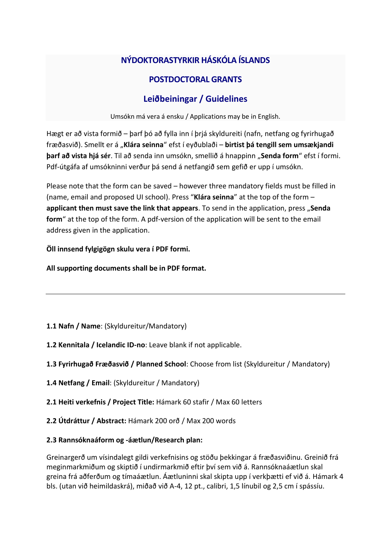# **NÝDOKTORASTYRKIR HÁSKÓLA ÍSLANDS**

## **POSTDOCTORAL GRANTS**

## **Leiðbeiningar / Guidelines**

Umsókn má vera á ensku / Applications may be in English.

Hægt er að vista formið – þarf þó að fylla inn í þrjá skyldureiti (nafn, netfang og fyrirhugað fræðasvið). Smellt er á "**Klára seinna**" efst í eyðublaði – **birtist þá tengill sem umsækjandi barf að vista hjá sér**. Til að senda inn umsókn, smellið á hnappinn "**Senda form**" efst í formi. Pdf-útgáfa af umsókninni verður þá send á netfangið sem gefið er upp í umsókn.

Please note that the form can be saved – however three mandatory fields must be filled in (name, email and proposed UI school). Press "**Klára seinna**" at the top of the form – **applicant then must save the link that appears**. To send in the application, press "**Senda form**" at the top of the form. A pdf-version of the application will be sent to the email address given in the application.

### **Öll innsend fylgigögn skulu vera í PDF formi.**

**All supporting documents shall be in PDF format.**

- **1.1 Nafn / Name**: (Skyldureitur/Mandatory)
- **1.2 Kennitala / Icelandic ID-no**: Leave blank if not applicable.
- **1.3 Fyrirhugað Fræðasvið / Planned School**: Choose from list (Skyldureitur / Mandatory)
- **1.4 Netfang / Email**: (Skyldureitur / Mandatory)
- **2.1 Heiti verkefnis / Project Title:** Hámark 60 stafir / Max 60 letters
- **2.2 Útdráttur / Abstract:** Hámark 200 orð / Max 200 words
- **2.3 Rannsóknaáform og -áætlun/Research plan:**

Greinargerð um vísindalegt gildi verkefnisins og stöðu þekkingar á fræðasviðinu. Greinið frá meginmarkmiðum og skiptið í undirmarkmið eftir því sem við á. Rannsóknaáætlun skal greina frá aðferðum og tímaáætlun. Áætluninni skal skipta upp í verkþætti ef við á. Hámark 4 bls. (utan við heimildaskrá), miðað við A-4, 12 pt., calibri, 1,5 línubil og 2,5 cm í spássíu.